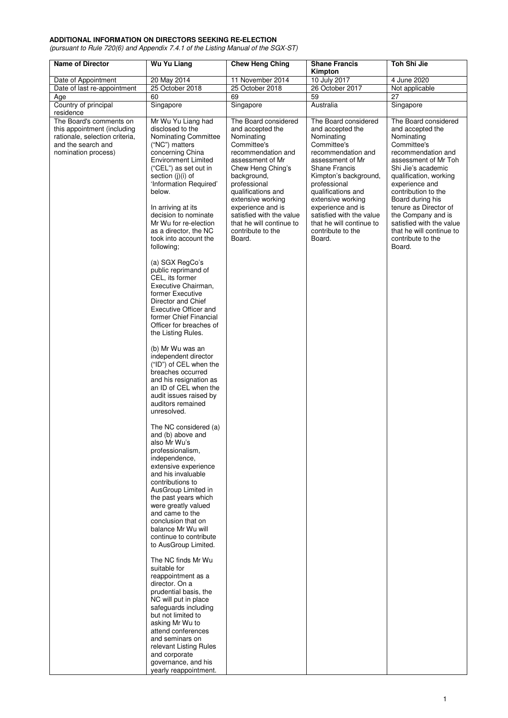## **ADDITIONAL INFORMATION ON DIRECTORS SEEKING RE-ELECTION**

(pursuant to Rule 720(6) and Appendix 7.4.1 of the Listing Manual of the SGX-ST)

| <b>Name of Director</b>                                                                                                               | Wu Yu Liang                                                                                                                                                                                                                                                                                                                                              | <b>Chew Heng Ching</b>                                                                                                                                                                                                                                          | <b>Shane Francis</b><br>Kimpton                                                                                                                                                                                                                                              | Toh Shi Jie                                                                                                                                                                                                                                                                     |
|---------------------------------------------------------------------------------------------------------------------------------------|----------------------------------------------------------------------------------------------------------------------------------------------------------------------------------------------------------------------------------------------------------------------------------------------------------------------------------------------------------|-----------------------------------------------------------------------------------------------------------------------------------------------------------------------------------------------------------------------------------------------------------------|------------------------------------------------------------------------------------------------------------------------------------------------------------------------------------------------------------------------------------------------------------------------------|---------------------------------------------------------------------------------------------------------------------------------------------------------------------------------------------------------------------------------------------------------------------------------|
| Date of Appointment                                                                                                                   | 20 May 2014                                                                                                                                                                                                                                                                                                                                              | 11 November 2014                                                                                                                                                                                                                                                | 10 July 2017                                                                                                                                                                                                                                                                 | 4 June 2020                                                                                                                                                                                                                                                                     |
| Date of last re-appointment                                                                                                           | 25 October 2018                                                                                                                                                                                                                                                                                                                                          | 25 October 2018                                                                                                                                                                                                                                                 | 26 October 2017                                                                                                                                                                                                                                                              | Not applicable                                                                                                                                                                                                                                                                  |
| Age                                                                                                                                   | 60                                                                                                                                                                                                                                                                                                                                                       | 69                                                                                                                                                                                                                                                              | $\overline{59}$                                                                                                                                                                                                                                                              | 27                                                                                                                                                                                                                                                                              |
| Country of principal<br>residence                                                                                                     | Singapore                                                                                                                                                                                                                                                                                                                                                | Singapore                                                                                                                                                                                                                                                       | Australia                                                                                                                                                                                                                                                                    | Singapore                                                                                                                                                                                                                                                                       |
| The Board's comments on<br>this appointment (including<br>rationale, selection criteria,<br>and the search and<br>nomination process) | Mr Wu Yu Liang had<br>disclosed to the<br>Nominating Committee<br>("NC") matters<br>concerning China<br><b>Environment Limited</b><br>("CEL") as set out in<br>section (j)(i) of<br>'Information Required'<br>below.<br>In arriving at its<br>decision to nominate                                                                                       | The Board considered<br>and accepted the<br>Nominating<br>Committee's<br>recommendation and<br>assessment of Mr<br>Chew Heng Ching's<br>background,<br>professional<br>qualifications and<br>extensive working<br>experience and is<br>satisfied with the value | The Board considered<br>and accepted the<br>Nominating<br>Committee's<br>recommendation and<br>assessment of Mr<br><b>Shane Francis</b><br>Kimpton's background,<br>professional<br>qualifications and<br>extensive working<br>experience and is<br>satisfied with the value | The Board considered<br>and accepted the<br>Nominating<br>Committee's<br>recommendation and<br>assessment of Mr Toh<br>Shi Jie's academic<br>qualification, working<br>experience and<br>contribution to the<br>Board during his<br>tenure as Director of<br>the Company and is |
|                                                                                                                                       | Mr Wu for re-election<br>as a director, the NC<br>took into account the<br>following;                                                                                                                                                                                                                                                                    | that he will continue to<br>contribute to the<br>Board.                                                                                                                                                                                                         | that he will continue to<br>contribute to the<br>Board.                                                                                                                                                                                                                      | satisfied with the value<br>that he will continue to<br>contribute to the<br>Board.                                                                                                                                                                                             |
|                                                                                                                                       | (a) SGX RegCo's<br>public reprimand of<br>CEL. its former<br>Executive Chairman.<br>former Executive<br>Director and Chief<br>Executive Officer and<br>former Chief Financial<br>Officer for breaches of<br>the Listing Rules.                                                                                                                           |                                                                                                                                                                                                                                                                 |                                                                                                                                                                                                                                                                              |                                                                                                                                                                                                                                                                                 |
|                                                                                                                                       | (b) Mr Wu was an<br>independent director<br>("ID") of CEL when the<br>breaches occurred<br>and his resignation as<br>an ID of CEL when the<br>audit issues raised by<br>auditors remained<br>unresolved.                                                                                                                                                 |                                                                                                                                                                                                                                                                 |                                                                                                                                                                                                                                                                              |                                                                                                                                                                                                                                                                                 |
|                                                                                                                                       | The NC considered (a)<br>and (b) above and<br>also Mr Wu's<br>professionalism,<br>independence,<br>extensive experience<br>and his invaluable<br>contributions to<br>AusGroup Limited in<br>the past years which<br>were greatly valued<br>and came to the<br>conclusion that on<br>balance Mr Wu will<br>continue to contribute<br>to AusGroup Limited. |                                                                                                                                                                                                                                                                 |                                                                                                                                                                                                                                                                              |                                                                                                                                                                                                                                                                                 |
|                                                                                                                                       | The NC finds Mr Wu<br>suitable for<br>reappointment as a<br>director. On a<br>prudential basis, the<br>NC will put in place<br>safeguards including<br>but not limited to<br>asking Mr Wu to<br>attend conferences<br>and seminars on<br>relevant Listing Rules<br>and corporate<br>governance, and his<br>yearly reappointment.                         |                                                                                                                                                                                                                                                                 |                                                                                                                                                                                                                                                                              |                                                                                                                                                                                                                                                                                 |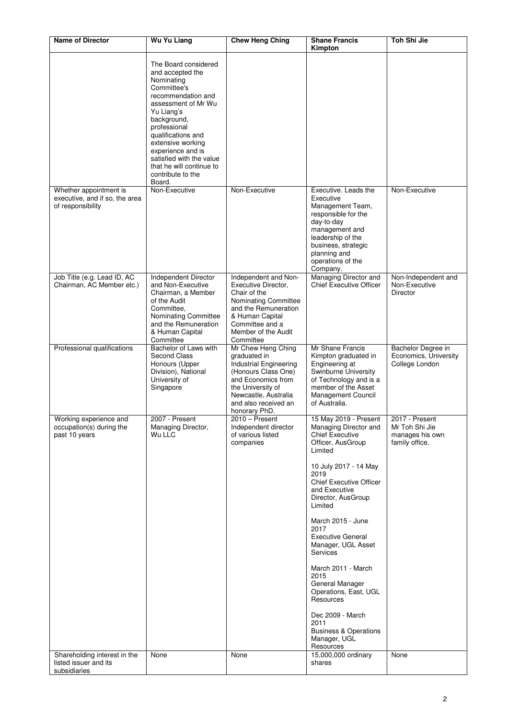| <b>Name of Director</b>                                                                             | <b>Wu Yu Liang</b>                                                                                                                                                                                                                                                                                                     | <b>Chew Heng Ching</b>                                                                                                                                                                          | <b>Shane Francis</b><br>Kimpton                                                                                                                                                                                                                                                                                                                                                                                                                                                                                                     | Toh Shi Jie                                                                   |
|-----------------------------------------------------------------------------------------------------|------------------------------------------------------------------------------------------------------------------------------------------------------------------------------------------------------------------------------------------------------------------------------------------------------------------------|-------------------------------------------------------------------------------------------------------------------------------------------------------------------------------------------------|-------------------------------------------------------------------------------------------------------------------------------------------------------------------------------------------------------------------------------------------------------------------------------------------------------------------------------------------------------------------------------------------------------------------------------------------------------------------------------------------------------------------------------------|-------------------------------------------------------------------------------|
|                                                                                                     | The Board considered<br>and accepted the<br>Nominating<br>Committee's<br>recommendation and<br>assessment of Mr Wu<br>Yu Liang's<br>background,<br>professional<br>qualifications and<br>extensive working<br>experience and is<br>satisfied with the value<br>that he will continue to<br>contribute to the<br>Board. |                                                                                                                                                                                                 |                                                                                                                                                                                                                                                                                                                                                                                                                                                                                                                                     |                                                                               |
| Whether appointment is<br>executive, and if so, the area<br>of responsibility                       | Non-Executive                                                                                                                                                                                                                                                                                                          | Non-Executive                                                                                                                                                                                   | Executive. Leads the<br>Executive<br>Management Team,<br>responsible for the<br>day-to-day<br>management and<br>leadership of the<br>business, strategic<br>planning and<br>operations of the<br>Company.                                                                                                                                                                                                                                                                                                                           | Non-Executive                                                                 |
| Job Title (e.g. Lead ID, AC<br>Chairman, AC Member etc.)                                            | Independent Director<br>and Non-Executive<br>Chairman, a Member<br>of the Audit<br>Committee.<br>Nominating Committee<br>and the Remuneration<br>& Human Capital<br>Committee                                                                                                                                          | Independent and Non-<br>Executive Director,<br>Chair of the<br>Nominating Committee<br>and the Remuneration<br>& Human Capital<br>Committee and a<br>Member of the Audit<br>Committee           | Managing Director and<br><b>Chief Executive Officer</b>                                                                                                                                                                                                                                                                                                                                                                                                                                                                             | Non-Independent and<br>Non-Executive<br>Director                              |
| Professional qualifications                                                                         | Bachelor of Laws with<br>Second Class<br>Honours (Upper<br>Division), National<br>University of<br>Singapore                                                                                                                                                                                                           | Mr Chew Heng Ching<br>graduated in<br>Industrial Engineering<br>(Honours Class One)<br>and Economics from<br>the University of<br>Newcastle, Australia<br>and also received an<br>honorary PhD. | Mr Shane Francis<br>Kimpton graduated in<br>Engineering at<br>Swinburne University<br>of Technology and is a<br>member of the Asset<br><b>Management Council</b><br>of Australia.                                                                                                                                                                                                                                                                                                                                                   | Bachelor Degree in<br>Economics, University<br>College London                 |
| Working experience and<br>occupation(s) during the<br>past 10 years<br>Shareholding interest in the | 2007 - Present<br>Managing Director,<br>Wu LLC<br>None                                                                                                                                                                                                                                                                 | $2010 -$ Present<br>Independent director<br>of various listed<br>companies<br>None                                                                                                              | 15 May 2019 - Present<br>Managing Director and<br><b>Chief Executive</b><br>Officer, AusGroup<br>Limited<br>10 July 2017 - 14 May<br>2019<br><b>Chief Executive Officer</b><br>and Executive<br>Director, AusGroup<br>Limited<br>March 2015 - June<br>2017<br><b>Executive General</b><br>Manager, UGL Asset<br>Services<br>March 2011 - March<br>2015<br>General Manager<br>Operations, East, UGL<br>Resources<br>Dec 2009 - March<br>2011<br><b>Business &amp; Operations</b><br>Manager, UGL<br>Resources<br>15,000,000 ordinary | 2017 - Present<br>Mr Toh Shi Jie<br>manages his own<br>family office.<br>None |
| listed issuer and its<br>subsidiaries                                                               |                                                                                                                                                                                                                                                                                                                        |                                                                                                                                                                                                 | shares                                                                                                                                                                                                                                                                                                                                                                                                                                                                                                                              |                                                                               |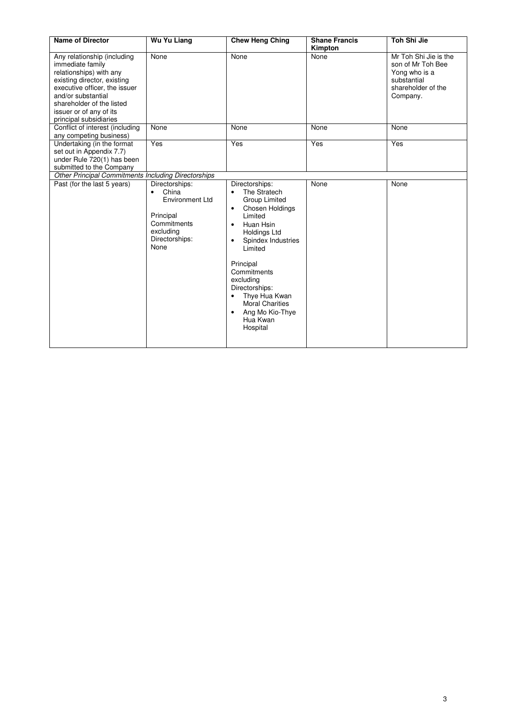| <b>Name of Director</b>                                                                                                                                                                                                                            | <b>Wu Yu Liang</b>                                                                                                                | <b>Chew Heng Ching</b>                                                                                                                                                                                                                                                                                                                                              | <b>Shane Francis</b> | Toh Shi Jie                                                                                                  |
|----------------------------------------------------------------------------------------------------------------------------------------------------------------------------------------------------------------------------------------------------|-----------------------------------------------------------------------------------------------------------------------------------|---------------------------------------------------------------------------------------------------------------------------------------------------------------------------------------------------------------------------------------------------------------------------------------------------------------------------------------------------------------------|----------------------|--------------------------------------------------------------------------------------------------------------|
| Any relationship (including<br>immediate family<br>relationships) with any<br>existing director, existing<br>executive officer, the issuer<br>and/or substantial<br>shareholder of the listed<br>issuer or of any of its<br>principal subsidiaries | None                                                                                                                              | None                                                                                                                                                                                                                                                                                                                                                                | Kimpton<br>None      | Mr Toh Shi Jie is the<br>son of Mr Toh Bee<br>Yong who is a<br>substantial<br>shareholder of the<br>Company. |
| Conflict of interest (including<br>any competing business)                                                                                                                                                                                         | None                                                                                                                              | None                                                                                                                                                                                                                                                                                                                                                                | None                 | None                                                                                                         |
| Undertaking (in the format<br>set out in Appendix 7.7)<br>under Rule 720(1) has been<br>submitted to the Company                                                                                                                                   | Yes                                                                                                                               | Yes                                                                                                                                                                                                                                                                                                                                                                 | Yes                  | Yes                                                                                                          |
| Other Principal Commitments Including Directorships                                                                                                                                                                                                |                                                                                                                                   |                                                                                                                                                                                                                                                                                                                                                                     |                      |                                                                                                              |
| Past (for the last 5 years)                                                                                                                                                                                                                        | Directorships:<br>China<br>$\bullet$<br><b>Environment Ltd</b><br>Principal<br>Commitments<br>excluding<br>Directorships:<br>None | Directorships:<br>The Stratech<br>$\bullet$<br>Group Limited<br>Chosen Holdings<br>$\bullet$<br>Limited<br>Huan Hsin<br>$\bullet$<br>Holdings Ltd<br>Spindex Industries<br>$\bullet$<br>Limited<br>Principal<br>Commitments<br>excluding<br>Directorships:<br>Thye Hua Kwan<br>$\bullet$<br>Moral Charities<br>Ang Mo Kio-Thye<br>$\bullet$<br>Hua Kwan<br>Hospital | None                 | None                                                                                                         |

I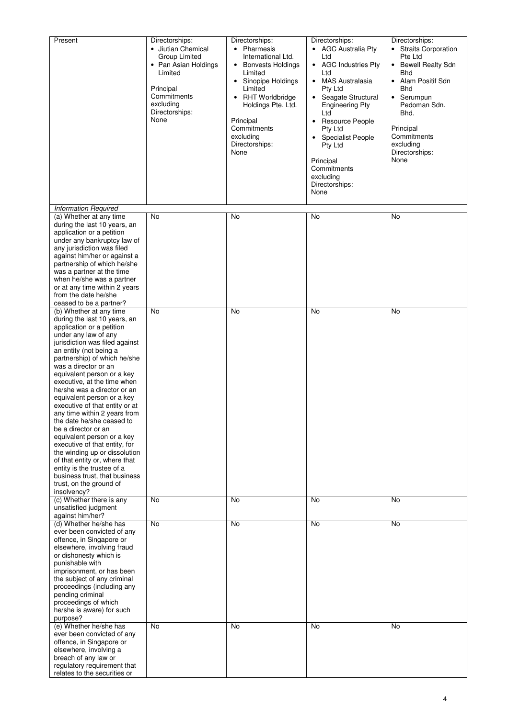| Present                                                                                                                                                                                                                                                                                                                                                                                                                                                                                                                                                                                                                                                                                         | Directorships:<br>• Jiutian Chemical<br>Group Limited<br>• Pan Asian Holdings<br>Limited<br>Principal<br>Commitments<br>excluding<br>Directorships:<br>None | Directorships:<br>• Pharmesis<br>International Ltd.<br>• Bonvests Holdings<br>Limited<br>• Sinopipe Holdings<br>Limited<br><b>RHT Worldbridge</b><br>$\bullet$<br>Holdings Pte. Ltd.<br>Principal<br>Commitments<br>excluding<br>Directorships:<br>None | Directorships:<br>• AGC Australia Pty<br>Ltd<br><b>AGC Industries Pty</b><br>$\bullet$<br>Ltd<br>MAS Australasia<br>$\bullet$<br>Pty Ltd<br>Seagate Structural<br><b>Engineering Pty</b><br>Ltd<br><b>Resource People</b><br>$\bullet$<br>Pty Ltd<br><b>Specialist People</b><br>Pty Ltd<br>Principal<br>Commitments<br>excluding<br>Directorships:<br>None | Directorships:<br>• Straits Corporation<br>Pte Ltd<br><b>Bewell Realty Sdn</b><br>$\bullet$<br><b>Bhd</b><br>Alam Positif Sdn<br>$\bullet$<br>Bhd<br>Serumpun<br>$\bullet$<br>Pedoman Sdn.<br>Bhd.<br>Principal<br>Commitments<br>excluding<br>Directorships:<br>None |
|-------------------------------------------------------------------------------------------------------------------------------------------------------------------------------------------------------------------------------------------------------------------------------------------------------------------------------------------------------------------------------------------------------------------------------------------------------------------------------------------------------------------------------------------------------------------------------------------------------------------------------------------------------------------------------------------------|-------------------------------------------------------------------------------------------------------------------------------------------------------------|---------------------------------------------------------------------------------------------------------------------------------------------------------------------------------------------------------------------------------------------------------|-------------------------------------------------------------------------------------------------------------------------------------------------------------------------------------------------------------------------------------------------------------------------------------------------------------------------------------------------------------|-----------------------------------------------------------------------------------------------------------------------------------------------------------------------------------------------------------------------------------------------------------------------|
| <b>Information Required</b>                                                                                                                                                                                                                                                                                                                                                                                                                                                                                                                                                                                                                                                                     |                                                                                                                                                             |                                                                                                                                                                                                                                                         |                                                                                                                                                                                                                                                                                                                                                             |                                                                                                                                                                                                                                                                       |
| (a) Whether at any time<br>during the last 10 years, an<br>application or a petition<br>under any bankruptcy law of<br>any jurisdiction was filed<br>against him/her or against a<br>partnership of which he/she<br>was a partner at the time<br>when he/she was a partner<br>or at any time within 2 years<br>from the date he/she<br>ceased to be a partner?<br>(b) Whether at any time                                                                                                                                                                                                                                                                                                       | No<br>No                                                                                                                                                    | No<br>No                                                                                                                                                                                                                                                | No<br>No                                                                                                                                                                                                                                                                                                                                                    | No<br>No                                                                                                                                                                                                                                                              |
| during the last 10 years, an<br>application or a petition<br>under any law of any<br>jurisdiction was filed against<br>an entity (not being a<br>partnership) of which he/she<br>was a director or an<br>equivalent person or a key<br>executive, at the time when<br>he/she was a director or an<br>equivalent person or a key<br>executive of that entity or at<br>any time within 2 years from<br>the date he/she ceased to<br>be a director or an<br>equivalent person or a key<br>executive of that entity, for<br>the winding up or dissolution<br>of that entity or, where that<br>entity is the trustee of a<br>business trust, that business<br>trust, on the ground of<br>insolvency? |                                                                                                                                                             |                                                                                                                                                                                                                                                         |                                                                                                                                                                                                                                                                                                                                                             |                                                                                                                                                                                                                                                                       |
| (c) Whether there is any<br>unsatisfied judgment                                                                                                                                                                                                                                                                                                                                                                                                                                                                                                                                                                                                                                                | <b>No</b>                                                                                                                                                   | No                                                                                                                                                                                                                                                      | No                                                                                                                                                                                                                                                                                                                                                          | No                                                                                                                                                                                                                                                                    |
| against him/her?<br>(d) Whether he/she has<br>ever been convicted of any<br>offence, in Singapore or<br>elsewhere, involving fraud<br>or dishonesty which is<br>punishable with<br>imprisonment, or has been<br>the subject of any criminal<br>proceedings (including any<br>pending criminal<br>proceedings of which<br>he/she is aware) for such<br>purpose?                                                                                                                                                                                                                                                                                                                                  | <b>No</b>                                                                                                                                                   | No                                                                                                                                                                                                                                                      | No                                                                                                                                                                                                                                                                                                                                                          | No                                                                                                                                                                                                                                                                    |
| (e) Whether he/she has<br>ever been convicted of any<br>offence, in Singapore or<br>elsewhere, involving a<br>breach of any law or<br>regulatory requirement that<br>relates to the securities or                                                                                                                                                                                                                                                                                                                                                                                                                                                                                               | <b>No</b>                                                                                                                                                   | No                                                                                                                                                                                                                                                      | <b>No</b>                                                                                                                                                                                                                                                                                                                                                   | No                                                                                                                                                                                                                                                                    |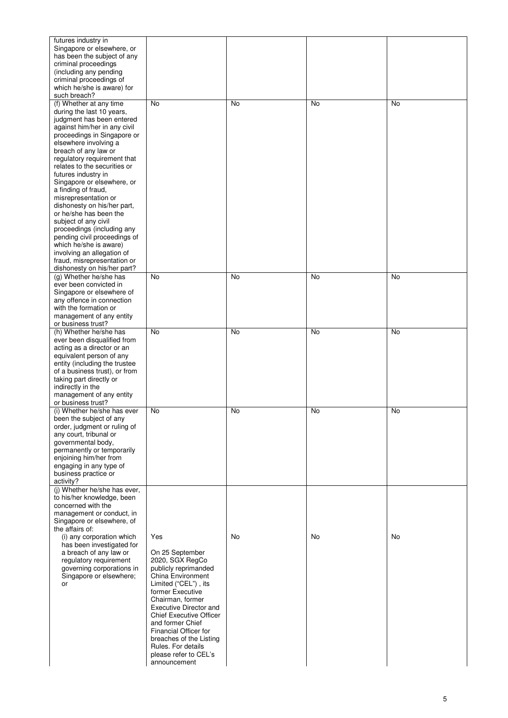| futures industry in<br>Singapore or elsewhere, or<br>has been the subject of any<br>criminal proceedings<br>(including any pending                                                                                                                                                                                                                                                                                                                                                                                                                                                                                                        |                                                                                                                                                                                                                                                                                                                                                           |    |    |    |
|-------------------------------------------------------------------------------------------------------------------------------------------------------------------------------------------------------------------------------------------------------------------------------------------------------------------------------------------------------------------------------------------------------------------------------------------------------------------------------------------------------------------------------------------------------------------------------------------------------------------------------------------|-----------------------------------------------------------------------------------------------------------------------------------------------------------------------------------------------------------------------------------------------------------------------------------------------------------------------------------------------------------|----|----|----|
| criminal proceedings of<br>which he/she is aware) for<br>such breach?                                                                                                                                                                                                                                                                                                                                                                                                                                                                                                                                                                     |                                                                                                                                                                                                                                                                                                                                                           |    |    |    |
| (f) Whether at any time<br>during the last 10 years,<br>judgment has been entered<br>against him/her in any civil<br>proceedings in Singapore or<br>elsewhere involving a<br>breach of any law or<br>regulatory requirement that<br>relates to the securities or<br>futures industry in<br>Singapore or elsewhere, or<br>a finding of fraud,<br>misrepresentation or<br>dishonesty on his/her part,<br>or he/she has been the<br>subject of any civil<br>proceedings (including any<br>pending civil proceedings of<br>which he/she is aware)<br>involving an allegation of<br>fraud, misrepresentation or<br>dishonesty on his/her part? | <b>No</b>                                                                                                                                                                                                                                                                                                                                                 | No | No | No |
| (g) Whether he/she has<br>ever been convicted in<br>Singapore or elsewhere of<br>any offence in connection<br>with the formation or<br>management of any entity<br>or business trust?                                                                                                                                                                                                                                                                                                                                                                                                                                                     | No                                                                                                                                                                                                                                                                                                                                                        | No | No | No |
| (h) Whether he/she has<br>ever been disqualified from<br>acting as a director or an<br>equivalent person of any<br>entity (including the trustee<br>of a business trust), or from<br>taking part directly or<br>indirectly in the<br>management of any entity<br>or business trust?                                                                                                                                                                                                                                                                                                                                                       | No                                                                                                                                                                                                                                                                                                                                                        | No | No | No |
| (i) Whether he/she has ever<br>been the subject of any<br>order, judgment or ruling of<br>any court, tribunal or<br>governmental body,<br>permanently or temporarily<br>enjoining him/her from<br>engaging in any type of<br>business practice or<br>activity?                                                                                                                                                                                                                                                                                                                                                                            | No                                                                                                                                                                                                                                                                                                                                                        | No | No | No |
| (j) Whether he/she has ever,<br>to his/her knowledge, been<br>concerned with the<br>management or conduct, in<br>Singapore or elsewhere, of<br>the affairs of:<br>(i) any corporation which<br>has been investigated for<br>a breach of any law or<br>regulatory requirement<br>governing corporations in<br>Singapore or elsewhere;<br>or                                                                                                                                                                                                                                                                                                | Yes<br>On 25 September<br>2020, SGX RegCo<br>publicly reprimanded<br>China Environment<br>Limited ("CEL"), its<br>former Executive<br>Chairman, former<br>Executive Director and<br><b>Chief Executive Officer</b><br>and former Chief<br>Financial Officer for<br>breaches of the Listing<br>Rules. For details<br>please refer to CEL's<br>announcement | No | No | No |